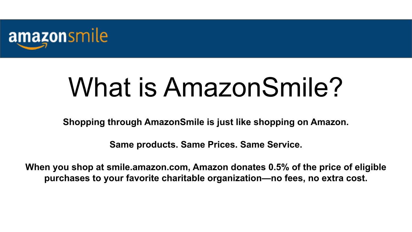

# What is AmazonSmile?

**Shopping through AmazonSmile is just like shopping on Amazon.**

**Same products. Same Prices. Same Service.**

**When you shop at smile.amazon.com, Amazon donates 0.5% of the price of eligible purchases to your favorite charitable organization—no fees, no extra cost.**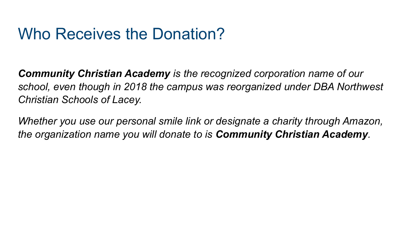### Who Receives the Donation?

*Community Christian Academy is the recognized corporation name of our school, even though in 2018 the campus was reorganized under DBA Northwest Christian Schools of Lacey.*

*Whether you use our personal smile link or designate a charity through Amazon, the organization name you will donate to is Community Christian Academy.*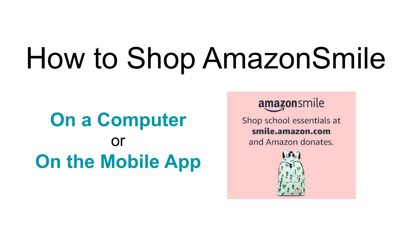# How to Shop AmazonSmile

### **On a Computer** or **On the Mobile App**

amazonsmile

Shop school essentials at smile.amazon.com and Amazon donates.

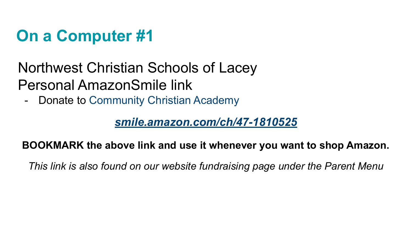### **On a Computer #1**

### Northwest Christian Schools of Lacey Personal AmazonSmile link

- Donate to Community Christian Academy

#### *smile.amazon.com/ch/47-1810525*

#### **BOOKMARK the above link and use it whenever you want to shop Amazon.**

*This link is also found on our website fundraising page under the Parent Menu*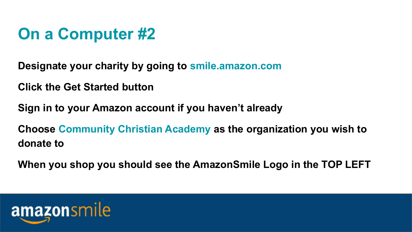### **On a Computer #2**

**Designate your charity by going to smile.amazon.com**

**Click the Get Started button**

**Sign in to your Amazon account if you haven't already**

**Choose Community Christian Academy as the organization you wish to donate to**

**When you shop you should see the AmazonSmile Logo in the TOP LEFT**

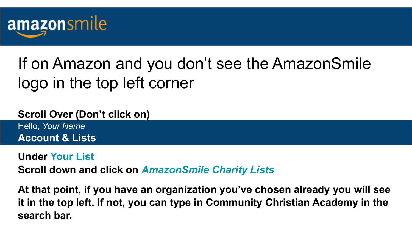

### If on Amazon and you don't see the AmazonSmile logo in the top left corner

#### **Scroll Over (Don't click on)**

Hello, *Your Name* **Account & Lists**

#### **Under Your List**

**Scroll down and click on** *AmazonSmile Charity Lists*

**At that point, if you have an organization you've chosen already you will see it in the top left. If not, you can type in Community Christian Academy in the search bar.**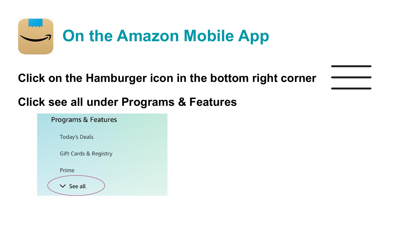

#### **Click on the Hamburger icon in the bottom right corner**

### **Click see all under Programs & Features**

| <b>Programs &amp; Features</b>   |  |
|----------------------------------|--|
| <b>Today's Deals</b>             |  |
| <b>Gift Cards &amp; Registry</b> |  |
| Prime                            |  |
| $\prime$ See all                 |  |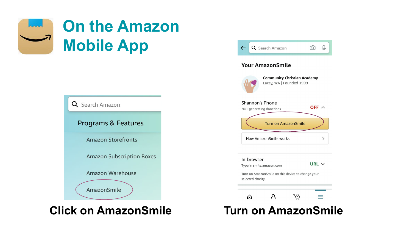



#### **Click on AmazonSmile**

|                   | <b>Community Christian Academy</b>                 |              |
|-------------------|----------------------------------------------------|--------------|
|                   | Lacey, WA   Founded 1999                           |              |
|                   | <b>Shannon's Phone</b><br>NOT generating donations | OFF $\wedge$ |
|                   | <b>Turn on AmazonSmile</b>                         |              |
|                   | How AmazonSmile works                              | ⋋            |
| In-browser        | Type in smile.amazon.com                           | URL $\vee$   |
| selected charity. | Turn on AmazonSmile on this device to change your  |              |
|                   |                                                    |              |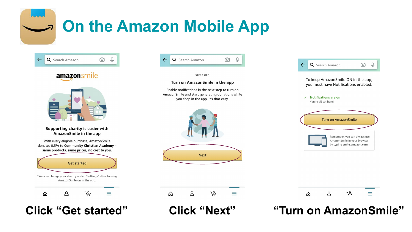### **On the Amazon Mobile App**



**Click "Get started"**

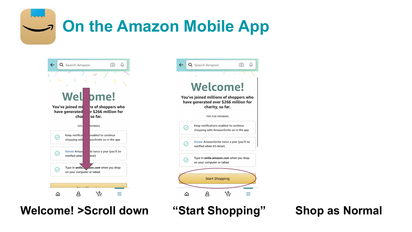**On the Amazon Mobile App**



**Welcome! >Scroll down**



**"Start Shopping" Shop as Normal**